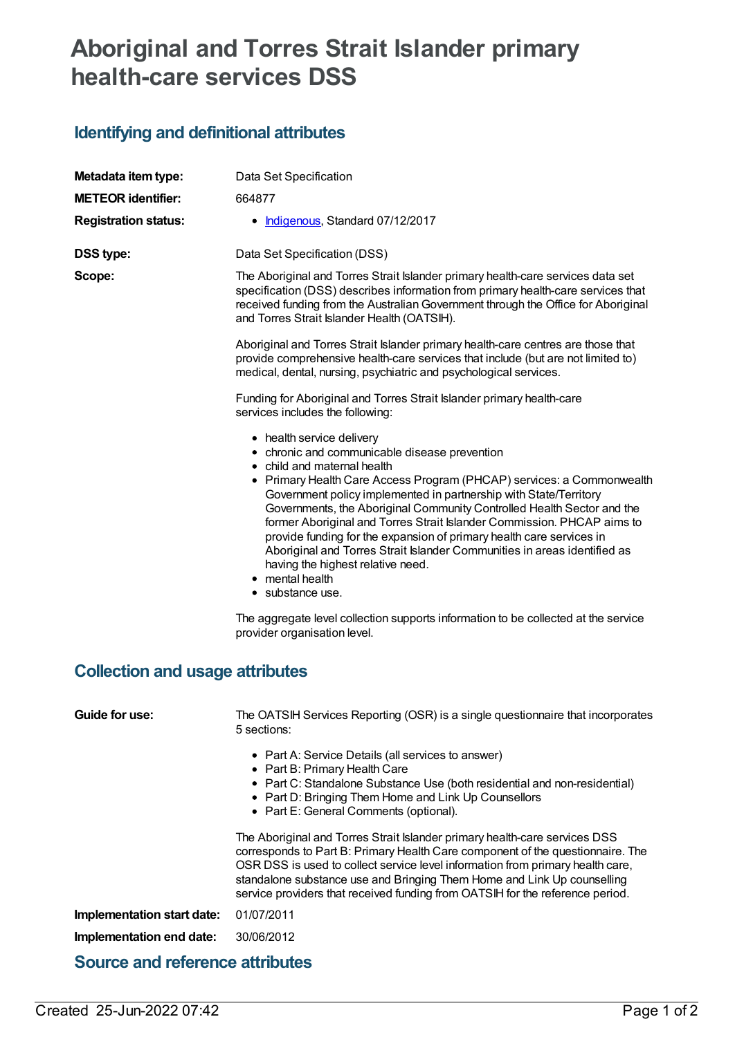## **Aboriginal and Torres Strait Islander primary health-care services DSS**

## **Identifying and definitional attributes**

| Metadata item type:                    | Data Set Specification                                                                                                                                                                                                                                                                                                                                                                                                                                                                                                                                                                                                                                                                                                                                            |  |  |  |
|----------------------------------------|-------------------------------------------------------------------------------------------------------------------------------------------------------------------------------------------------------------------------------------------------------------------------------------------------------------------------------------------------------------------------------------------------------------------------------------------------------------------------------------------------------------------------------------------------------------------------------------------------------------------------------------------------------------------------------------------------------------------------------------------------------------------|--|--|--|
| <b>METEOR identifier:</b>              | 664877                                                                                                                                                                                                                                                                                                                                                                                                                                                                                                                                                                                                                                                                                                                                                            |  |  |  |
| <b>Registration status:</b>            | • Indigenous, Standard 07/12/2017                                                                                                                                                                                                                                                                                                                                                                                                                                                                                                                                                                                                                                                                                                                                 |  |  |  |
| <b>DSS type:</b>                       | Data Set Specification (DSS)                                                                                                                                                                                                                                                                                                                                                                                                                                                                                                                                                                                                                                                                                                                                      |  |  |  |
| Scope:                                 | The Aboriginal and Torres Strait Islander primary health-care services data set<br>specification (DSS) describes information from primary health-care services that<br>received funding from the Australian Government through the Office for Aboriginal<br>and Torres Strait Islander Health (OATSIH).                                                                                                                                                                                                                                                                                                                                                                                                                                                           |  |  |  |
|                                        | Aboriginal and Torres Strait Islander primary health-care centres are those that<br>provide comprehensive health-care services that include (but are not limited to)<br>medical, dental, nursing, psychiatric and psychological services.                                                                                                                                                                                                                                                                                                                                                                                                                                                                                                                         |  |  |  |
|                                        | Funding for Aboriginal and Torres Strait Islander primary health-care<br>services includes the following:                                                                                                                                                                                                                                                                                                                                                                                                                                                                                                                                                                                                                                                         |  |  |  |
| <b>Collection and usage attributes</b> | • health service delivery<br>• chronic and communicable disease prevention<br>• child and maternal health<br>• Primary Health Care Access Program (PHCAP) services: a Commonwealth<br>Government policy implemented in partnership with State/Territory<br>Governments, the Aboriginal Community Controlled Health Sector and the<br>former Aboriginal and Torres Strait Islander Commission. PHCAP aims to<br>provide funding for the expansion of primary health care services in<br>Aboriginal and Torres Strait Islander Communities in areas identified as<br>having the highest relative need.<br>• mental health<br>• substance use.<br>The aggregate level collection supports information to be collected at the service<br>provider organisation level. |  |  |  |
|                                        |                                                                                                                                                                                                                                                                                                                                                                                                                                                                                                                                                                                                                                                                                                                                                                   |  |  |  |
| Guide for use:                         | The OATSIH Services Reporting (OSR) is a single questionnaire that incorporates<br>5 sections:                                                                                                                                                                                                                                                                                                                                                                                                                                                                                                                                                                                                                                                                    |  |  |  |
|                                        | • Part A: Service Details (all services to answer)<br>• Part B: Primary Health Care<br>• Part C: Standalone Substance Use (both residential and non-residential)<br>• Part D: Bringing Them Home and Link Up Counsellors<br>• Part E: General Comments (optional).                                                                                                                                                                                                                                                                                                                                                                                                                                                                                                |  |  |  |
|                                        | The Aboriginal and Torres Strait Islander primary health-care services DSS<br>corresponds to Part B: Primary Health Care component of the questionnaire. The<br>OSR DSS is used to collect service level information from primary health care,<br>standalone substance use and Bringing Them Home and Link Up counselling<br>service providers that received funding from OATSIH for the reference period.                                                                                                                                                                                                                                                                                                                                                        |  |  |  |
| Implementation start date:             | 01/07/2011                                                                                                                                                                                                                                                                                                                                                                                                                                                                                                                                                                                                                                                                                                                                                        |  |  |  |
| Implementation end date:               | 30/06/2012                                                                                                                                                                                                                                                                                                                                                                                                                                                                                                                                                                                                                                                                                                                                                        |  |  |  |
| <b>Source and reference attributes</b> |                                                                                                                                                                                                                                                                                                                                                                                                                                                                                                                                                                                                                                                                                                                                                                   |  |  |  |